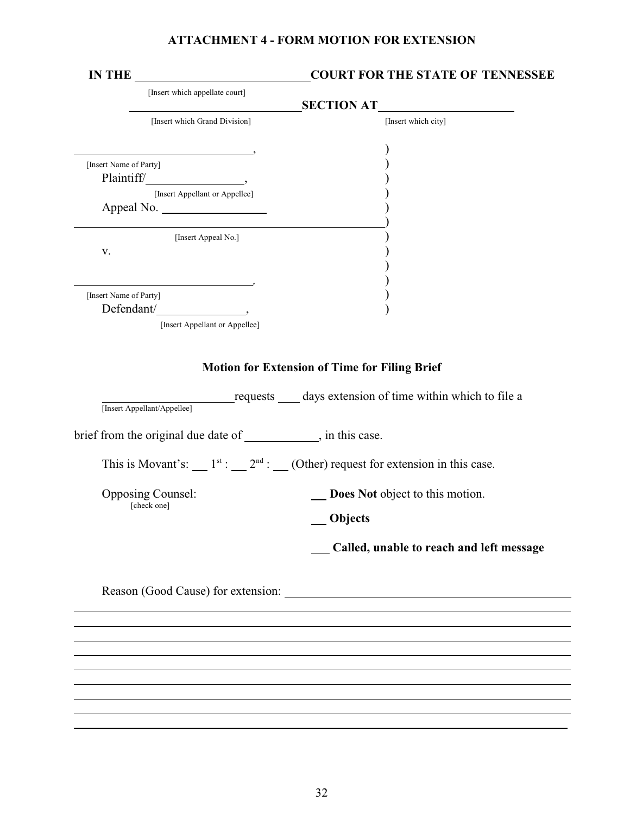## **ATTACHMENT 4 - FORM MOTION FOR EXTENSION**

|                                              | <b>COURT FOR THE STATE OF TENNESSEE</b>                         |                                                                                                            |  |  |  |
|----------------------------------------------|-----------------------------------------------------------------|------------------------------------------------------------------------------------------------------------|--|--|--|
|                                              | [Insert which appellate court]                                  |                                                                                                            |  |  |  |
|                                              | <u> 1989 - Johann Barnett, fransk politiker (</u>               | SECTION AT                                                                                                 |  |  |  |
|                                              | [Insert which Grand Division]                                   | [Insert which city]                                                                                        |  |  |  |
|                                              |                                                                 |                                                                                                            |  |  |  |
| [Insert Name of Party]                       |                                                                 |                                                                                                            |  |  |  |
|                                              |                                                                 |                                                                                                            |  |  |  |
| [Insert Appellant or Appellee]<br>Appeal No. |                                                                 |                                                                                                            |  |  |  |
|                                              |                                                                 |                                                                                                            |  |  |  |
|                                              | [Insert Appeal No.]                                             |                                                                                                            |  |  |  |
| V.                                           |                                                                 |                                                                                                            |  |  |  |
|                                              |                                                                 |                                                                                                            |  |  |  |
|                                              |                                                                 |                                                                                                            |  |  |  |
| [Insert Name of Party]                       |                                                                 |                                                                                                            |  |  |  |
|                                              | Defendant/                                                      |                                                                                                            |  |  |  |
|                                              | [Insert Appellant or Appellee]                                  |                                                                                                            |  |  |  |
|                                              |                                                                 |                                                                                                            |  |  |  |
|                                              |                                                                 | <b>Motion for Extension of Time for Filing Brief</b>                                                       |  |  |  |
|                                              | [Insert Appellant/Appellee]                                     | requests ______ days extension of time within which to file a                                              |  |  |  |
|                                              | brief from the original due date of ____________, in this case. |                                                                                                            |  |  |  |
|                                              |                                                                 | This is Movant's: __ 1 <sup>st</sup> : __ 2 <sup>nd</sup> : __ (Other) request for extension in this case. |  |  |  |
|                                              | <b>Opposing Counsel:</b><br>[check one]                         | Does Not object to this motion.                                                                            |  |  |  |
|                                              |                                                                 | Objects                                                                                                    |  |  |  |
|                                              |                                                                 | Called, unable to reach and left message                                                                   |  |  |  |
|                                              |                                                                 |                                                                                                            |  |  |  |
|                                              |                                                                 | Reason (Good Cause) for extension:                                                                         |  |  |  |
|                                              |                                                                 |                                                                                                            |  |  |  |
|                                              |                                                                 |                                                                                                            |  |  |  |
|                                              |                                                                 |                                                                                                            |  |  |  |
|                                              |                                                                 |                                                                                                            |  |  |  |
|                                              |                                                                 |                                                                                                            |  |  |  |
|                                              |                                                                 |                                                                                                            |  |  |  |
|                                              |                                                                 |                                                                                                            |  |  |  |
|                                              |                                                                 |                                                                                                            |  |  |  |
|                                              |                                                                 |                                                                                                            |  |  |  |